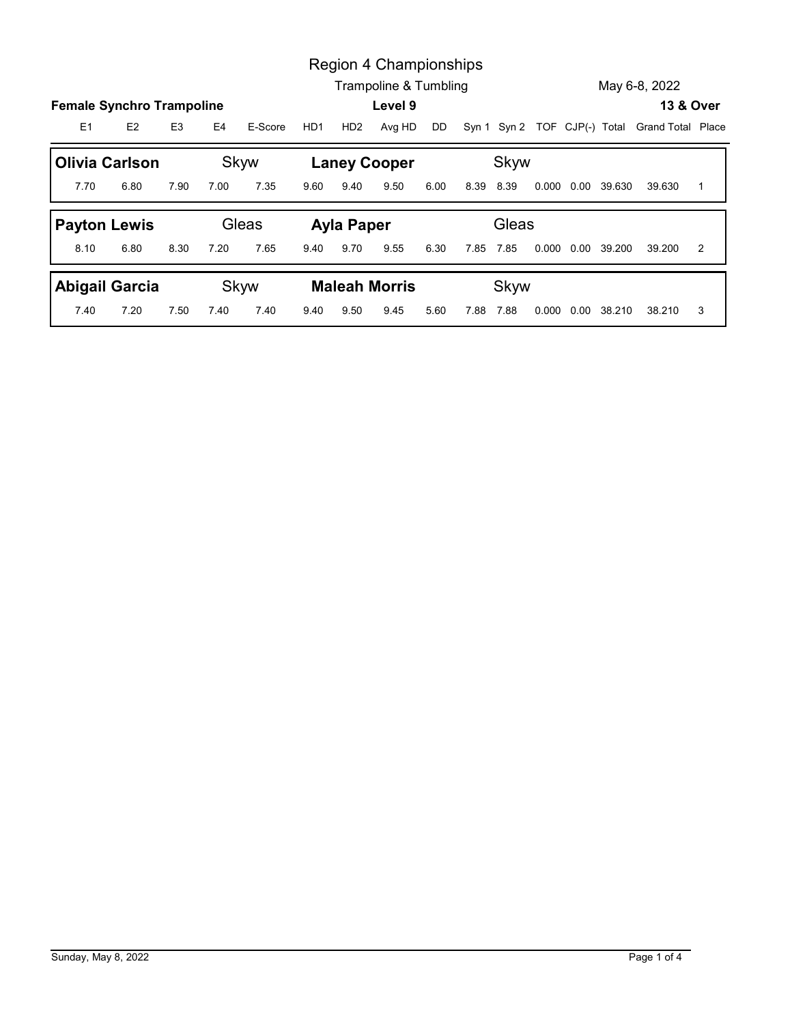|                |                                                    |                |      |              |      | Region 4 Championships      |            |      |           |                                                |                     |               |                |
|----------------|----------------------------------------------------|----------------|------|--------------|------|-----------------------------|------------|------|-----------|------------------------------------------------|---------------------|---------------|----------------|
|                |                                                    |                |      |              |      | Trampoline & Tumbling       |            |      |           |                                                |                     | May 6-8, 2022 |                |
| E <sub>1</sub> | <b>Female Synchro Trampoline</b><br>E <sub>2</sub> | E <sub>3</sub> | E4   | E-Score      | HD1  |                             | Level 9    | DD   |           |                                                |                     |               | 13 & Over      |
|                |                                                    |                |      |              |      |                             | HD2 Avg HD |      |           | Syn 1 Syn 2 TOF CJP(-) Total Grand Total Place |                     |               |                |
| 7.70           | <b>Olivia Carlson</b><br>6.80                      | 7.90           | 7.00 | Skyw<br>7.35 | 9.60 | <b>Laney Cooper</b><br>9.40 | 9.50       | 6.00 | 8.39 8.39 | Skyw                                           | 0.000 0.00 39.630   | 39.630        | $\overline{1}$ |
|                |                                                    |                |      | Gleas        |      |                             |            |      |           | Gleas                                          |                     |               |                |
| 8.10           | <b>Payton Lewis</b><br>6.80                        | 8.30           | 7.20 | 7.65         | 9.40 | <b>Ayla Paper</b><br>9.70   | 9.55       | 6.30 | 7.85 7.85 |                                                | 0.000  0.00  39.200 | 39.200        | 2              |
|                | <b>Abigail Garcia</b>                              |                |      | Skyw         |      | <b>Maleah Morris</b>        |            |      |           | Skyw                                           |                     |               |                |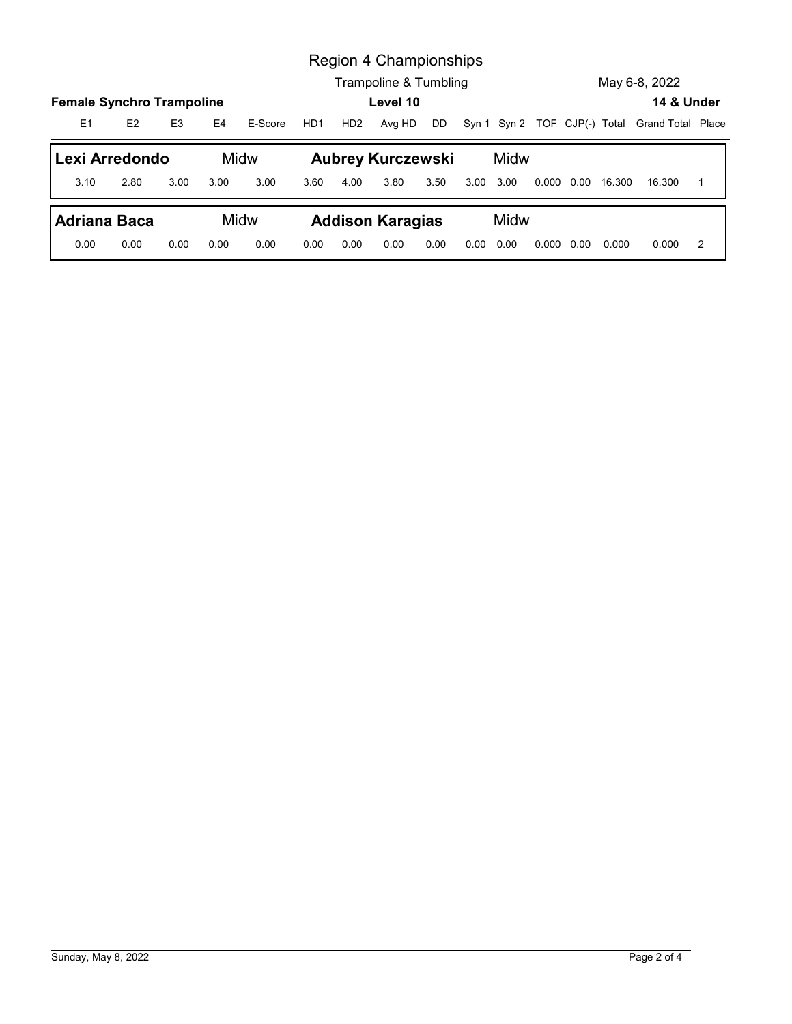|                                                         |      |                |      |              |      |                 | Region 4 Championships<br>Trampoline & Tumbling |      |           |      |  |                     | May 6-8, 2022                                  |                |
|---------------------------------------------------------|------|----------------|------|--------------|------|-----------------|-------------------------------------------------|------|-----------|------|--|---------------------|------------------------------------------------|----------------|
|                                                         |      |                |      |              |      |                 | Level 10                                        |      |           |      |  |                     | 14 & Under                                     |                |
| E1                                                      | E2   | E <sub>3</sub> | E4   | E-Score      | HD1  | HD <sub>2</sub> | Avg HD                                          | DD   |           |      |  |                     | Syn 1 Syn 2 TOF CJP(-) Total Grand Total Place |                |
|                                                         |      |                |      |              |      |                 |                                                 |      |           |      |  |                     |                                                |                |
| Lexi Arredondo<br>3.10                                  | 2.80 | 3.00           | 3.00 | Midw<br>3.00 | 3.60 | 4.00            | <b>Aubrey Kurczewski</b><br>3.80                | 3.50 | 3.00 3.00 | Midw |  | 0.000  0.00  16.300 | 16.300                                         | $\overline{1}$ |
| <b>Female Synchro Trampoline</b><br><b>Adriana Baca</b> |      |                |      | Midw         |      |                 | <b>Addison Karagias</b>                         |      |           | Midw |  |                     |                                                |                |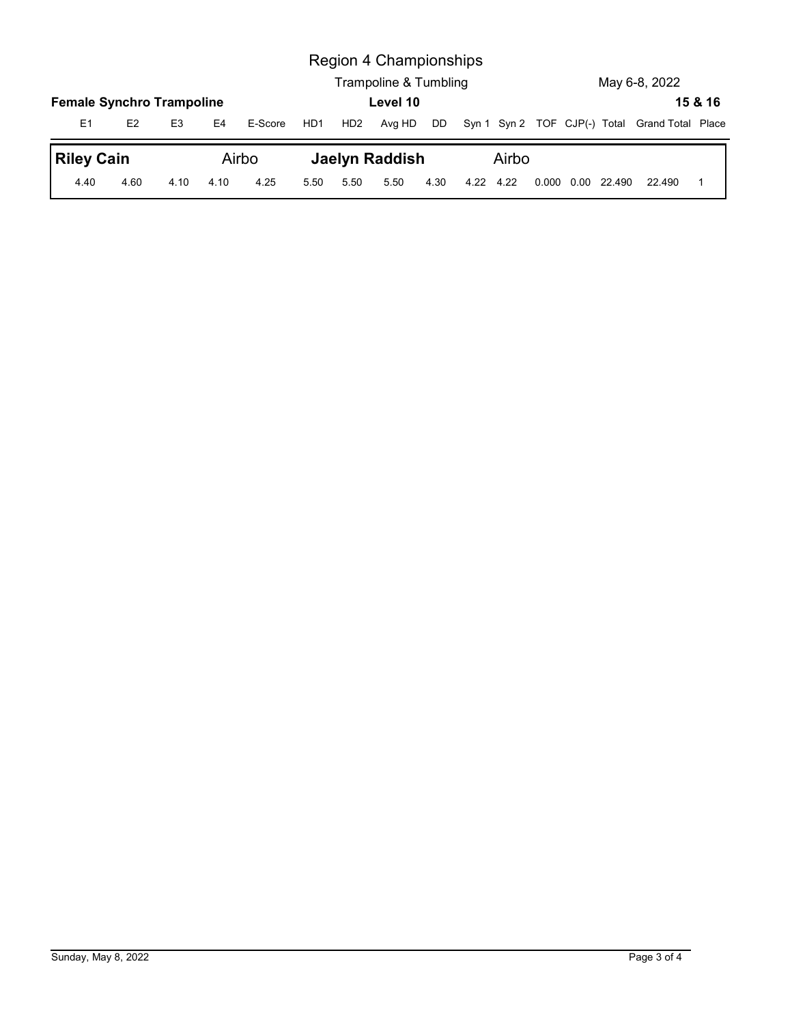|                                  |                |                |                |                  |     |                 | Region 4 Championships<br>Trampoline & Tumbling |    |       |  | May 6-8, 2022                                  |         |
|----------------------------------|----------------|----------------|----------------|------------------|-----|-----------------|-------------------------------------------------|----|-------|--|------------------------------------------------|---------|
| <b>Female Synchro Trampoline</b> |                |                |                |                  |     |                 | Level 10                                        |    |       |  |                                                | 15 & 16 |
| E1<br><b>Riley Cain</b>          | E <sub>2</sub> | E <sub>3</sub> | E <sub>4</sub> | E-Score<br>Airbo | HD1 | HD <sub>2</sub> | Avg HD<br><b>Jaelyn Raddish</b>                 | DD | Airbo |  | Syn 1 Syn 2 TOF CJP(-) Total Grand Total Place |         |